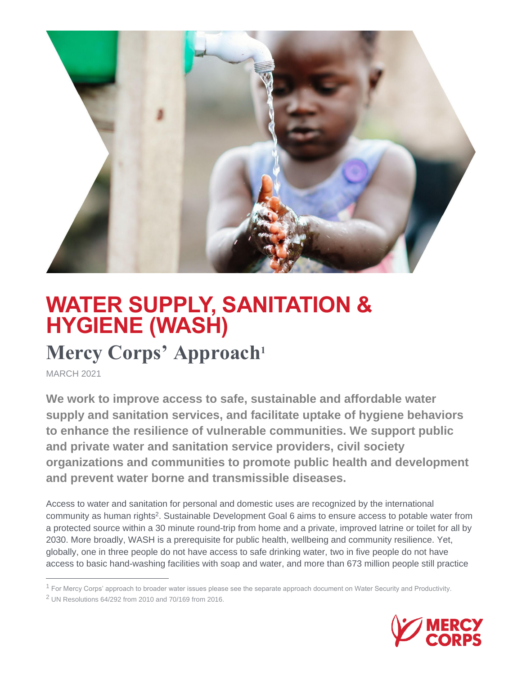

## **WATER SUPPLY, SANITATION & HYGIENE (WASH)**

## **Mercy Corps' Approach<sup>1</sup>**

MARCH 2021

 $\overline{a}$ 

**We work to improve access to safe, sustainable and affordable water supply and sanitation services, and facilitate uptake of hygiene behaviors to enhance the resilience of vulnerable communities. We support public and private water and sanitation service providers, civil society organizations and communities to promote public health and development and prevent water borne and transmissible diseases.**

Access to water and sanitation for personal and domestic uses are recognized by the international community as human rights<sup>2</sup>. Sustainable Development Goal 6 aims to ensure access to potable water from a protected source within a 30 minute round-trip from home and a private, improved latrine or toilet for all by 2030. More broadly, WASH is a prerequisite for public health, wellbeing and community resilience. Yet, globally, one in three people do not have access to safe drinking water, two in five people do not have access to basic hand-washing facilities with soap and water, and more than 673 million people still practice



 $1$  For Mercy Corps' approach to broader water issues please see the separate approach document on Water Security and Productivity.

 $2$  UN Resolutions 64/292 from 2010 and 70/169 from 2016.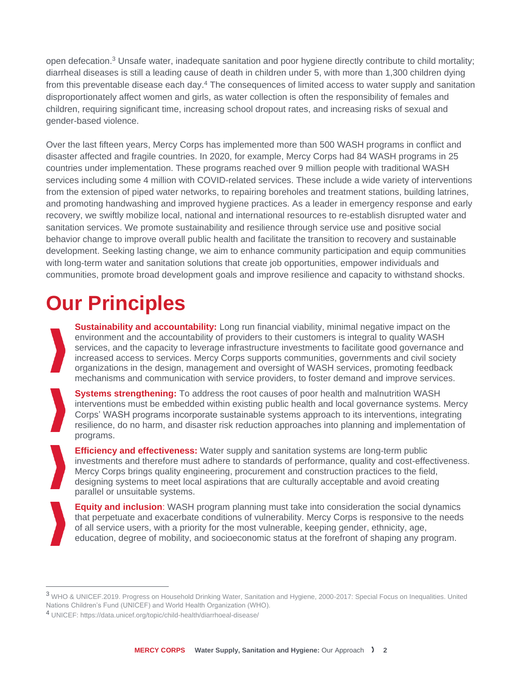open defecation.<sup>3</sup> Unsafe water, inadequate sanitation and poor hygiene directly contribute to child mortality; diarrheal diseases is still a leading cause of death in children under 5, with more than 1,300 children dying from this preventable disease each day.<sup>4</sup> The consequences of limited access to water supply and sanitation disproportionately affect women and girls, as water collection is often the responsibility of females and children, requiring significant time, increasing school dropout rates, and increasing risks of sexual and gender-based violence.

Over the last fifteen years, Mercy Corps has implemented more than 500 WASH programs in conflict and disaster affected and fragile countries. In 2020, for example, Mercy Corps had 84 WASH programs in 25 countries under implementation. These programs reached over 9 million people with traditional WASH services including some 4 million with COVID-related services. These include a wide variety of interventions from the extension of piped water networks, to repairing boreholes and treatment stations, building latrines, and promoting handwashing and improved hygiene practices. As a leader in emergency response and early recovery, we swiftly mobilize local, national and international resources to re-establish disrupted water and sanitation services. We promote sustainability and resilience through service use and positive social behavior change to improve overall public health and facilitate the transition to recovery and sustainable development. Seeking lasting change, we aim to enhance community participation and equip communities with long-term water and sanitation solutions that create job opportunities, empower individuals and communities, promote broad development goals and improve resilience and capacity to withstand shocks.

# **Our Principles**

**Sustainability and accountability:** Long run financial viability, minimal negative impact on the environment and the accountability of providers to their customers is integral to quality WASH services, and the capacity to leverage infrastructure investments to facilitate good governance and increased access to services. Mercy Corps supports communities, governments and civil society organizations in the design, management and oversight of WASH services, promoting feedback mechanisms and communication with service providers, to foster demand and improve services.

**Systems strengthening:** To address the root causes of poor health and malnutrition WASH interventions must be embedded within existing [public health](https://drive.google.com/open?id=152MA0qYI4I_bPODuTFA9SGb93YncHBWw&authuser=cespey%40mercycorps.org&usp=drive_fs) and local [governance](https://drive.google.com/open?id=1cNM9bn4aEZXJeiJVq64cXjm3820iEbzX&authuser=cespey%40mercycorps.org&usp=drive_fs) systems. Mercy Corps' WASH programs incorporate sustainable systems approach to its interventions, integrating resilience, do no harm, and disaster risk reduction approaches into planning and implementation of programs.

**Efficiency and effectiveness:** Water supply and sanitation systems are long-term public investments and therefore must adhere to standards of performance, quality and cost-effectiveness. Mercy Corps brings quality engineering, procurement and construction practices to the field, designing systems to meet local aspirations that are culturally acceptable and avoid creating parallel or unsuitable systems.

**Equity and inclusion**: WASH program planning must take into consideration the social dynamics that perpetuate and exacerbate conditions of vulnerability. Mercy Corps is responsive to the needs of all service users, with a priority for the most vulnerable, keeping gender, ethnicity, age, education, degree of mobility, and socioeconomic status at the forefront of shaping any program.

 $\overline{a}$ 

<sup>3</sup> WHO & UNICEF.2019. Progress on Household Drinking Water, Sanitation and Hygiene, 2000-2017: Special Focus on Inequalities. United Nations Children's Fund (UNICEF) and World Health Organization (WHO).

<sup>4</sup> UNICEF: https://data.unicef.org/topic/child-health/diarrhoeal-disease/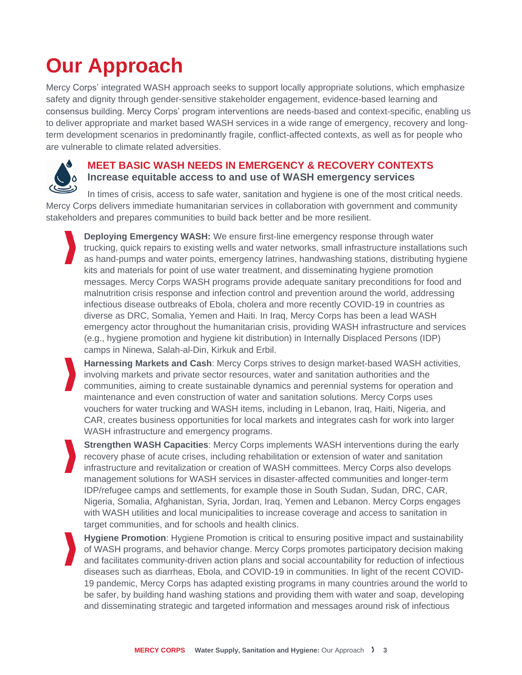# **Our Approach**

Mercy Corps' integrated WASH approach seeks to support locally appropriate solutions, which emphasize safety and dignity through gender-sensitive stakeholder engagement, evidence-based learning and consensus building. Mercy Corps' program interventions are needs-based and context-specific, enabling us to deliver appropriate and market based WASH services in a wide range of emergency, recovery and longterm development scenarios in predominantly fragile, conflict-affected contexts, as well as for people who are vulnerable to climate related adversities.

### **MEET BASIC WASH NEEDS IN EMERGENCY & RECOVERY CONTEXTS Increase equitable access to and use of WASH emergency services**

In times of crisis, access to safe water, sanitation and hygiene is one of the most critical needs. Mercy Corps delivers immediate humanitarian services in collaboration with government and community stakeholders and prepares communities to build back better and be more resilient.

**Deploying Emergency WASH:** We ensure first-line emergency response through water trucking, quick repairs to existing wells and water networks, small infrastructure installations such as hand-pumps and water points, emergency latrines, handwashing stations, distributing hygiene kits and materials for point of use water treatment, and disseminating hygiene promotion messages. Mercy Corps WASH programs provide adequate sanitary preconditions for food and malnutrition crisis response and infection control and prevention around the world, addressing infectious disease outbreaks of Ebola, cholera and more recently COVID-19 in countries as diverse as DRC, Somalia, Yemen and Haiti. In Iraq, Mercy Corps has been a lead WASH emergency actor throughout the humanitarian crisis, providing WASH infrastructure and services (e.g., hygiene promotion and hygiene kit distribution) in Internally Displaced Persons (IDP) camps in Ninewa, Salah-al-Din, Kirkuk and Erbil.

**Harnessing Markets and Cash**: Mercy Corps strives to design market-based WASH activities, involving markets and private sector resources, water and sanitation authorities and the communities, aiming to create sustainable dynamics and perennial systems for operation and maintenance and even construction of water and sanitation solutions. Mercy Corps uses vouchers for water trucking and WASH items, including in Lebanon, Iraq, Haiti, Nigeria, and CAR, creates business opportunities for local markets and integrates cash for work into larger WASH infrastructure and emergency programs.

**Strengthen WASH Capacities**: Mercy Corps implements WASH interventions during the early recovery phase of acute crises, including rehabilitation or extension of water and sanitation infrastructure and revitalization or creation of WASH committees. Mercy Corps also develops management solutions for WASH services in disaster-affected communities and longer-term IDP/refugee camps and settlements, for example those in South Sudan, Sudan, DRC, CAR, Nigeria, Somalia, Afghanistan, Syria, Jordan, Iraq, Yemen and Lebanon. Mercy Corps engages with WASH utilities and local municipalities to increase coverage and access to sanitation in target communities, and for schools and health clinics.

**Hygiene Promotion**: Hygiene Promotion is critical to ensuring positive impact and sustainability of WASH programs, and behavior change. Mercy Corps promotes participatory decision making and facilitates community-driven action plans and social accountability for reduction of infectious diseases such as diarrheas, Ebola, and COVID-19 in communities. In light of the recent COVID-19 pandemic, Mercy Corps has adapted existing programs in many countries around the world to be safer, by building hand washing stations and providing them with water and soap, developing and disseminating strategic and targeted information and messages around risk of infectious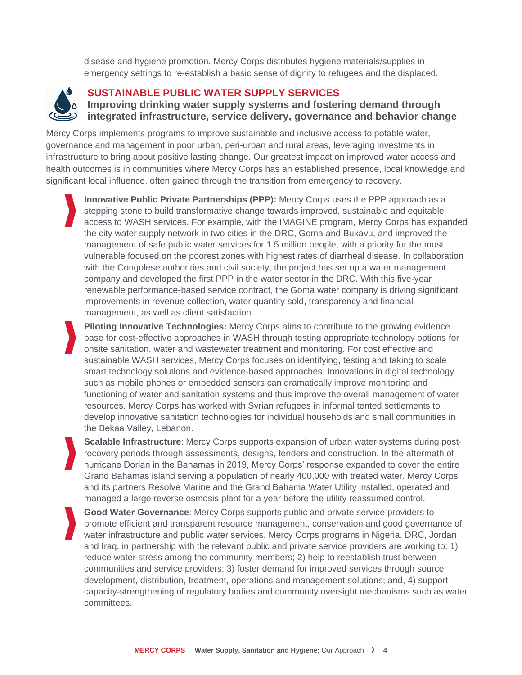disease and hygiene promotion. Mercy Corps distributes hygiene materials/supplies in emergency settings to re-establish a basic sense of dignity to refugees and the displaced.



### **SUSTAINABLE PUBLIC WATER SUPPLY SERVICES**

**Improving drinking water supply systems and fostering demand through integrated infrastructure, service delivery, governance and behavior change**

Mercy Corps implements programs to improve sustainable and inclusive access to potable water, governance and management in poor urban, peri-urban and rural areas, leveraging investments in infrastructure to bring about positive lasting change. Our greatest impact on improved water access and health outcomes is in communities where Mercy Corps has an established presence, local knowledge and significant local influence, often gained through the transition from emergency to recovery.

**Innovative Public Private Partnerships (PPP):** Mercy Corps uses the PPP approach as a stepping stone to build transformative change towards improved, sustainable and equitable access to WASH services. For example, with the IMAGINE program, Mercy Corps has expanded the city water supply network in two cities in the DRC, Goma and Bukavu, and improved the management of safe public water services for 1.5 million people, with a priority for the most vulnerable focused on the poorest zones with highest rates of diarrheal disease. In collaboration with the Congolese authorities and civil society, the project has set up a water management company and developed the first PPP in the water sector in the DRC. With this five-year renewable performance-based service contract, the Goma water company is driving significant improvements in revenue collection, water quantity sold, transparency and financial management, as well as client satisfaction.

**Piloting Innovative Technologies:** Mercy Corps aims to contribute to the growing evidence base for cost-effective approaches in WASH through testing appropriate technology options for onsite sanitation, water and wastewater treatment and monitoring. For cost effective and sustainable WASH services, Mercy Corps focuses on identifying, testing and taking to scale smart technology solutions and evidence-based approaches. Innovations in digital technology such as mobile phones or embedded sensors can dramatically improve monitoring and functioning of water and sanitation systems and thus improve the overall management of water resources. Mercy Corps has worked with Syrian refugees in informal tented settlements to develop innovative sanitation technologies for individual households and small communities in the Bekaa Valley, Lebanon.

**Scalable Infrastructure**: Mercy Corps supports expansion of urban water systems during postrecovery periods through assessments, designs, tenders and construction. In the aftermath of hurricane Dorian in the Bahamas in 2019, Mercy Corps' response expanded to cover the entire Grand Bahamas island serving a population of nearly 400,000 with treated water. Mercy Corps and its partners Resolve Marine and the Grand Bahama Water Utility installed, operated and managed a large reverse osmosis plant for a year before the utility reassumed control.

**Good Water Governance**: Mercy Corps supports public and private service providers to promote efficient and transparent resource management, conservation and good governance of water infrastructure and public water services. Mercy Corps programs in Nigeria, DRC, Jordan and Iraq, in partnership with the relevant public and private service providers are working to: 1) reduce water stress among the community members; 2) help to reestablish trust between communities and service providers; 3) foster demand for improved services through source development, distribution, treatment, operations and management solutions; and, 4) support capacity-strengthening of regulatory bodies and community oversight mechanisms such as water committees.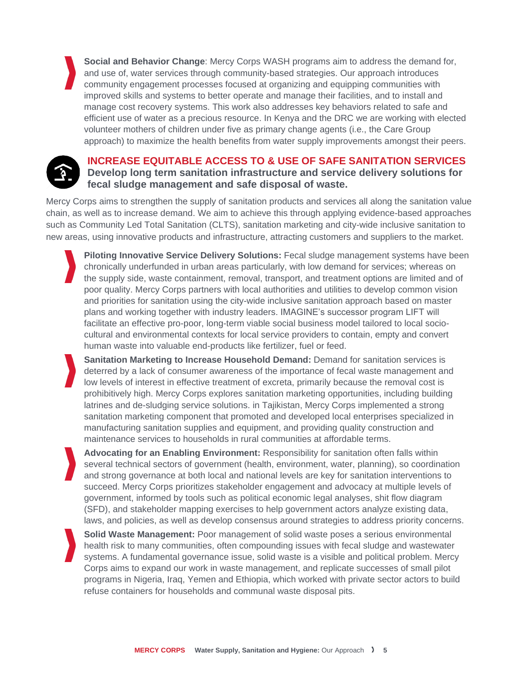**Social and Behavior Change**: Mercy Corps WASH programs aim to address the demand for, and use of, water services through community-based strategies. Our approach introduces community engagement processes focused at organizing and equipping communities with improved skills and systems to better operate and manage their facilities, and to install and manage cost recovery systems. This work also addresses key behaviors related to safe and efficient use of water as a precious resource. In Kenya and the DRC we are working with elected volunteer mothers of children under five as primary change agents (i.e., the Care Group approach) to maximize the health benefits from water supply improvements amongst their peers.



### **INCREASE EQUITABLE ACCESS TO & USE OF SAFE SANITATION SERVICES Develop long term sanitation infrastructure and service delivery solutions for fecal sludge management and safe disposal of waste.**

Mercy Corps aims to strengthen the supply of sanitation products and services all along the sanitation value chain, as well as to increase demand. We aim to achieve this through applying evidence-based approaches such as Community Led Total Sanitation (CLTS), sanitation marketing and city-wide inclusive sanitation to new areas, using innovative products and infrastructure, attracting customers and suppliers to the market.

**Piloting Innovative Service Delivery Solutions:** Fecal sludge management systems have been chronically underfunded in urban areas particularly, with low demand for services; whereas on the supply side, waste containment, removal, transport, and treatment options are limited and of poor quality. Mercy Corps partners with local authorities and utilities to develop common vision and priorities for sanitation using the city-wide inclusive sanitation approach based on master plans and working together with industry leaders. IMAGINE's successor program LIFT will facilitate an effective pro-poor, long-term viable social business model tailored to local sociocultural and environmental contexts for local service providers to contain, empty and convert human waste into valuable end-products like fertilizer, fuel or feed.

**Sanitation Marketing to Increase Household Demand:** Demand for sanitation services is deterred by a lack of consumer awareness of the importance of fecal waste management and low levels of interest in effective treatment of excreta, primarily because the removal cost is prohibitively high. Mercy Corps explores sanitation marketing opportunities, including building latrines and de-sludging service solutions. in Tajikistan, Mercy Corps implemented a strong sanitation marketing component that promoted and developed local enterprises specialized in manufacturing sanitation supplies and equipment, and providing quality construction and maintenance services to households in rural communities at affordable terms.

**Advocating for an Enabling Environment:** Responsibility for sanitation often falls within several technical sectors of government (health, environment, water, planning), so coordination and strong governance at both local and national levels are key for sanitation interventions to succeed. Mercy Corps prioritizes stakeholder engagement and advocacy at multiple levels of government, informed by tools such as political economic legal analyses, shit flow diagram (SFD), and stakeholder mapping exercises to help government actors analyze existing data, laws, and policies, as well as develop consensus around strategies to address priority concerns.

**Solid Waste Management:** Poor management of solid waste poses a serious environmental health risk to many communities, often compounding issues with fecal sludge and wastewater systems. A fundamental governance issue, solid waste is a visible and political problem. Mercy Corps aims to expand our work in waste management, and replicate successes of small pilot programs in Nigeria, Iraq, Yemen and Ethiopia, which worked with private sector actors to build refuse containers for households and communal waste disposal pits.